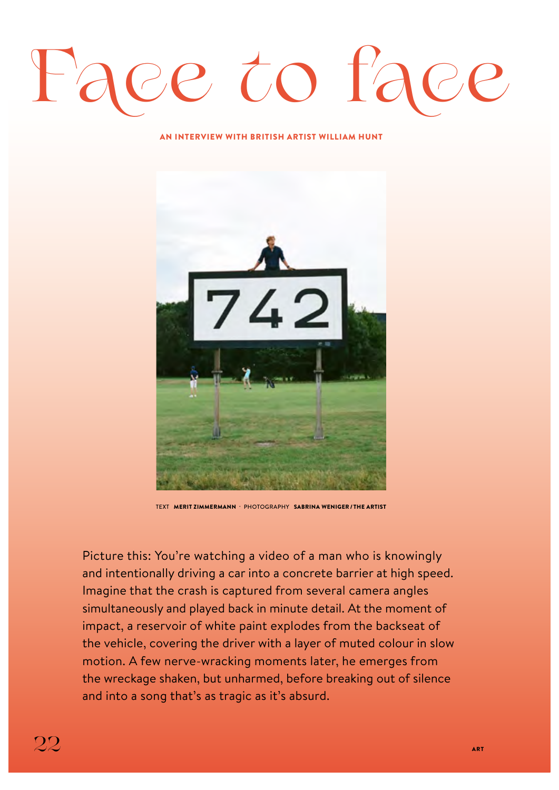## **Face to face**

## AN INTERVIEW WITH BRITISH ARTIST WILLIAM HUNT



TEXT MERIT ZIMMERMANN · PHOTOGRAPHY SABRINA WENIGER / THE ARTIST

Picture this: You're watching a video of a man who is knowingly and intentionally driving a car into a concrete barrier at high speed. Imagine that the crash is captured from several camera angles simultaneously and played back in minute detail. At the moment of impact, a reservoir of white paint explodes from the backseat of the vehicle, covering the driver with a layer of muted colour in slow motion. A few nerve-wracking moments later, he emerges from the wreckage shaken, but unharmed, before breaking out of silence and into a song that's as tragic as it's absurd.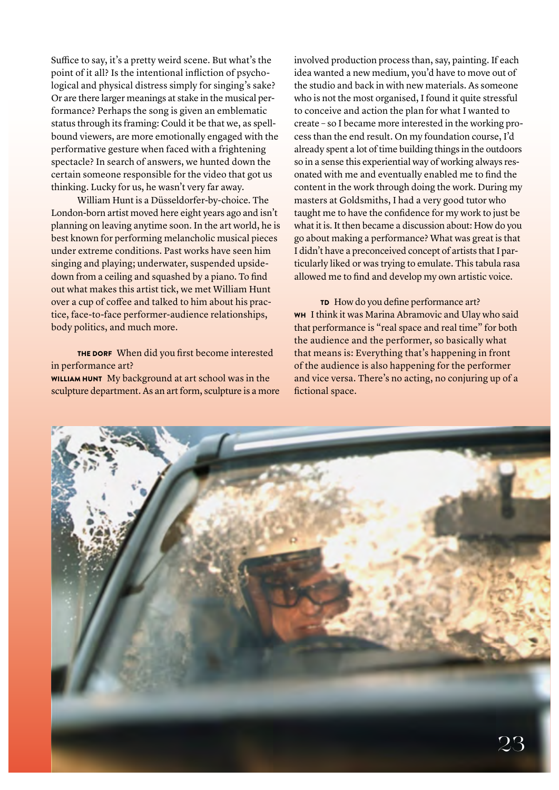Suffice to say, it's a pretty weird scene. But what's the point of it all? Is the intentional infliction of psychological and physical distress simply for singing's sake? Or are there larger meanings at stake in the musical performance? Perhaps the song is given an emblematic status through its framing: Could it be that we, as spellbound viewers, are more emotionally engaged with the performative gesture when faced with a frightening spectacle? In search of answers, we hunted down the certain someone responsible for the video that got us thinking. Lucky for us, he wasn't very far away.

William Hunt is a Düsseldorfer-by-choice. The London-born artist moved here eight years ago and isn't planning on leaving anytime soon. In the art world, he is best known for performing melancholic musical pieces under extreme conditions. Past works have seen him singing and playing; underwater, suspended upsidedown from a ceiling and squashed by a piano. To find out what makes this artist tick, we met William Hunt over a cup of coffee and talked to him about his practice, face-to-face performer-audience relationships, body politics, and much more.

THE DORF When did you first become interested in performance art? WILLIAM HUNT My background at art school was in the

sculpture department. As an art form, sculpture is a more

involved production process than, say, painting. If each idea wanted a new medium, you'd have to move out of the studio and back in with new materials. As someone who is not the most organised, I found it quite stressful to conceive and action the plan for what I wanted to create – so I became more interested in the working process than the end result. On my foundation course, I'd already spent a lot of time building things in the outdoors so in a sense this experiential way of working always resonated with me and eventually enabled me to find the content in the work through doing the work. During my masters at Goldsmiths, I had a very good tutor who taught me to have the confidence for my work to just be what it is. It then became a discussion about: How do you go about making a performance? What was great is that I didn't have a preconceived concept of artists that I particularly liked or was trying to emulate. This tabula rasa allowed me to find and develop my own artistic voice.

TD How do you define performance art? WH I think it was Marina Abramovic and Ulay who said that performance is "real space and real time" for both the audience and the performer, so basically what that means is: Everything that's happening in front of the audience is also happening for the performer and vice versa. There's no acting, no conjuring up of a fictional space.

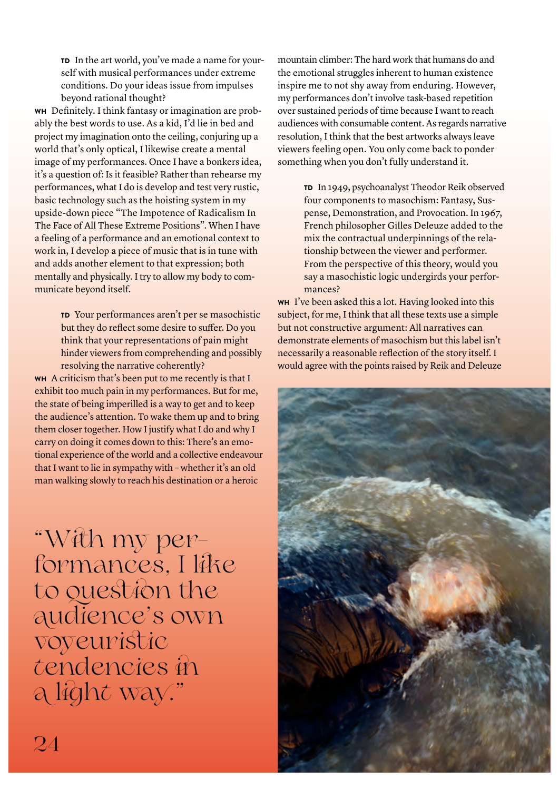TD In the art world, you've made a name for yourself with musical performances under extreme conditions. Do your ideas issue from impulses beyond rational thought?

WH Definitely. I think fantasy or imagination are probably the best words to use. As a kid, I'd lie in bed and project my imagination onto the ceiling, conjuring up a world that's only optical, I likewise create a mental image of my performances. Once I have a bonkers idea, it's a question of: Is it feasible? Rather than rehearse my performances, what I do is develop and test very rustic, basic technology such as the hoisting system in my upside-down piece "The Impotence of Radicalism In The Face of All These Extreme Positions". When I have a feeling of a performance and an emotional context to work in, I develop a piece of music that is in tune with and adds another element to that expression; both mentally and physically. I try to allow my body to communicate beyond itself.

> TD Your performances aren't per se masochistic but they do reflect some desire to suffer. Do you think that your representations of pain might hinder viewers from comprehending and possibly resolving the narrative coherently?

WH A criticism that's been put to me recently is that I exhibit too much pain in my performances. But for me, the state of being imperilled is a way to get and to keep the audience's attention. To wake them up and to bring them closer together. How I justify what I do and why I carry on doing it comes down to this: There's an emotional experience of the world and a collective endeavour that I want to lie in sympathy with – whether it's an old man walking slowly to reach his destination or a heroic

"With my performances, I like to que\$ion the audience's own voyeuri\$ic tendencies in a light way."

mountain climber: The hard work that humans do and the emotional struggles inherent to human existence inspire me to not shy away from enduring. However, my performances don't involve task-based repetition over sustained periods of time because I want to reach audiences with consumable content. As regards narrative resolution, I think that the best artworks always leave viewers feeling open. You only come back to ponder something when you don't fully understand it.

> TD In 1949, psychoanalyst Theodor Reik observed four components to masochism: Fantasy, Suspense, Demonstration, and Provocation. In 1967, French philosopher Gilles Deleuze added to the mix the contractual underpinnings of the relationship between the viewer and performer. From the perspective of this theory, would you say a masochistic logic undergirds your performances?

WH I've been asked this a lot. Having looked into this subject, for me, I think that all these texts use a simple but not constructive argument: All narratives can demonstrate elements of masochism but this label isn't necessarily a reasonable reflection of the story itself. I would agree with the points raised by Reik and Deleuze

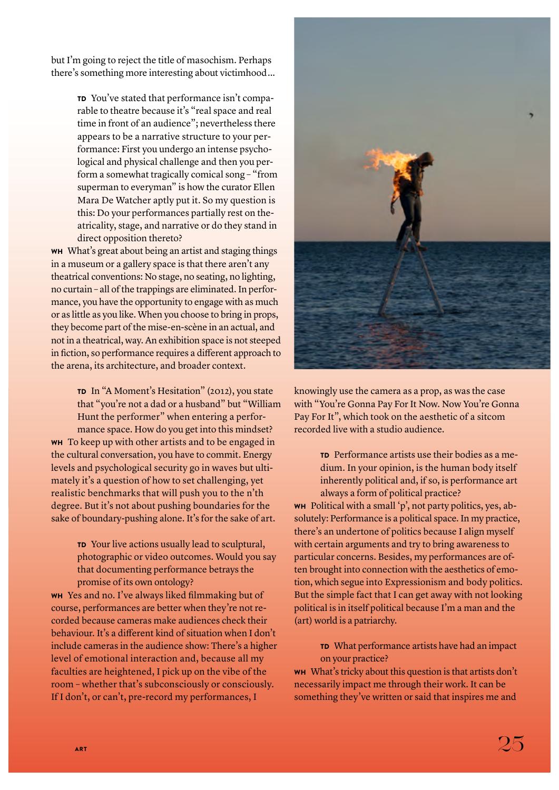but I'm going to reject the title of masochism. Perhaps there's something more interesting about victimhood...

> TD You've stated that performance isn't comparable to theatre because it's "real space and real time in front of an audience"; nevertheless there appears to be a narrative structure to your performance: First you undergo an intense psychological and physical challenge and then you perform a somewhat tragically comical song – "from superman to everyman" is how the curator Ellen Mara De Watcher aptly put it. So my question is this: Do your performances partially rest on theatricality, stage, and narrative or do they stand in direct opposition thereto?

WH What's great about being an artist and staging things in a museum or a gallery space is that there aren't any theatrical conventions: No stage, no seating, no lighting, no curtain – all of the trappings are eliminated. In performance, you have the opportunity to engage with as much or as little as you like. When you choose to bring in props, they become part of the mise-en-scène in an actual, and not in a theatrical, way. An exhibition space is not steeped in fiction, so performance requires a different approach to the arena, its architecture, and broader context.

TD In "A Moment's Hesitation" (2012), you state that "you're not a dad or a husband" but "William Hunt the performer" when entering a performance space. How do you get into this mindset? WH To keep up with other artists and to be engaged in the cultural conversation, you have to commit. Energy levels and psychological security go in waves but ultimately it's a question of how to set challenging, yet realistic benchmarks that will push you to the n'th degree. But it's not about pushing boundaries for the sake of boundary-pushing alone. It's for the sake of art.

> TD Your live actions usually lead to sculptural, photographic or video outcomes. Would you say that documenting performance betrays the promise of its own ontology?

 $WH$  Yes and no. I've always liked filmmaking but of course, performances are better when they're not recorded because cameras make audiences check their behaviour. It's a different kind of situation when I don't include cameras in the audience show: There's a higher level of emotional interaction and, because all my faculties are heightened, I pick up on the vibe of the room – whether that's subconsciously or consciously. If I don't, or can't, pre-record my performances, I



knowingly use the camera as a prop, as was the case with "You're Gonna Pay For It Now. Now You're Gonna Pay For It", which took on the aesthetic of a sitcom recorded live with a studio audience.

> TD Performance artists use their bodies as a medium. In your opinion, is the human body itself inherently political and, if so, is performance art always a form of political practice?

WH Political with a small 'p', not party politics, yes, absolutely: Performance is a political space. In my practice, there's an undertone of politics because I align myself with certain arguments and try to bring awareness to particular concerns. Besides, my performances are often brought into connection with the aesthetics of emotion, which segue into Expressionism and body politics. But the simple fact that I can get away with not looking political is in itself political because I'm a man and the (art) world is a patriarchy.

TD What performance artists have had an impact on your practice?

WH What's tricky about this question is that artists don't necessarily impact me through their work. It can be something they've written or said that inspires me and